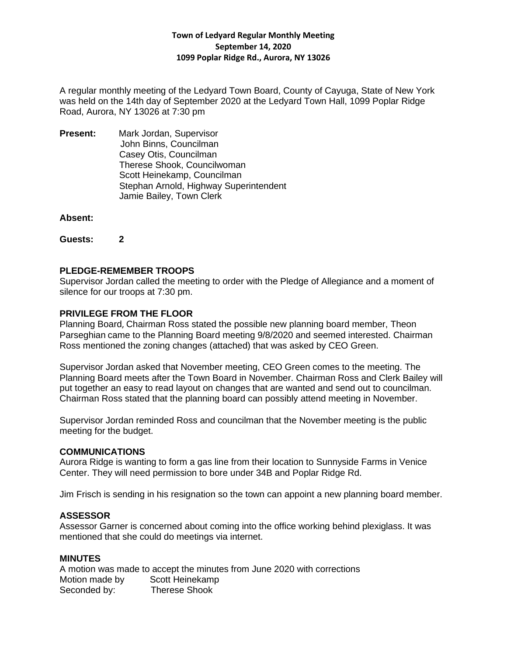## **Town of Ledyard Regular Monthly Meeting September 14, 2020 1099 Poplar Ridge Rd., Aurora, NY 13026**

A regular monthly meeting of the Ledyard Town Board, County of Cayuga, State of New York was held on the 14th day of September 2020 at the Ledyard Town Hall, 1099 Poplar Ridge Road, Aurora, NY 13026 at 7:30 pm

**Present:** Mark Jordan, Supervisor John Binns, Councilman Casey Otis, Councilman Therese Shook, Councilwoman Scott Heinekamp, Councilman Stephan Arnold, Highway Superintendent Jamie Bailey, Town Clerk

### **Absent:**

**Guests: 2**

# **PLEDGE-REMEMBER TROOPS**

Supervisor Jordan called the meeting to order with the Pledge of Allegiance and a moment of silence for our troops at 7:30 pm.

## **PRIVILEGE FROM THE FLOOR**

Planning Board, Chairman Ross stated the possible new planning board member, Theon Parseghian came to the Planning Board meeting 9/8/2020 and seemed interested. Chairman Ross mentioned the zoning changes (attached) that was asked by CEO Green.

Supervisor Jordan asked that November meeting, CEO Green comes to the meeting. The Planning Board meets after the Town Board in November. Chairman Ross and Clerk Bailey will put together an easy to read layout on changes that are wanted and send out to councilman. Chairman Ross stated that the planning board can possibly attend meeting in November.

Supervisor Jordan reminded Ross and councilman that the November meeting is the public meeting for the budget.

### **COMMUNICATIONS**

Aurora Ridge is wanting to form a gas line from their location to Sunnyside Farms in Venice Center. They will need permission to bore under 34B and Poplar Ridge Rd.

Jim Frisch is sending in his resignation so the town can appoint a new planning board member.

# **ASSESSOR**

Assessor Garner is concerned about coming into the office working behind plexiglass. It was mentioned that she could do meetings via internet.

### **MINUTES**

A motion was made to accept the minutes from June 2020 with corrections Motion made by Scott Heinekamp Seconded by: Therese Shook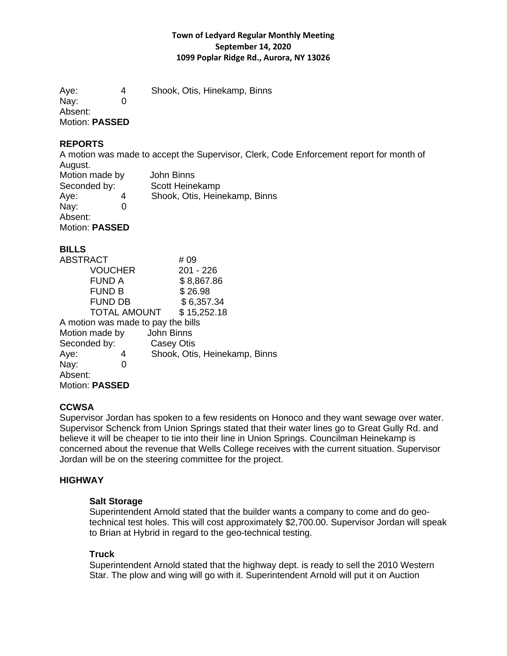## **Town of Ledyard Regular Monthly Meeting September 14, 2020 1099 Poplar Ridge Rd., Aurora, NY 13026**

Aye: 4 Shook, Otis, Hinekamp, Binns Nay: 0 Absent: Motion: **PASSED**

### **REPORTS**

A motion was made to accept the Supervisor, Clerk, Code Enforcement report for month of August.

| Motion made by |   | John Binns                    |
|----------------|---|-------------------------------|
| Seconded by:   |   | Scott Heinekamp               |
| Aye:           | 4 | Shook, Otis, Heinekamp, Binns |
| Nay:           |   |                               |
| Absent:        |   |                               |
| Motion: PASSED |   |                               |

# **BILLS**

| <b>ABSTRACT</b>                    | # 09                          |
|------------------------------------|-------------------------------|
| <b>VOUCHER</b>                     | 201 - 226                     |
| <b>FUND A</b>                      | \$8,867.86                    |
| <b>FUND B</b>                      | \$26.98                       |
| <b>FUND DB</b>                     | \$6,357.34                    |
|                                    | TOTAL AMOUNT \$15,252.18      |
| A motion was made to pay the bills |                               |
| Motion made by                     | John Binns                    |
| Seconded by:                       | Casey Otis                    |
| Aye:<br>4                          | Shook, Otis, Heinekamp, Binns |
| Nay:                               |                               |
| Absent:                            |                               |
| <b>Motion: PASSED</b>              |                               |

### **CCWSA**

Supervisor Jordan has spoken to a few residents on Honoco and they want sewage over water. Supervisor Schenck from Union Springs stated that their water lines go to Great Gully Rd. and believe it will be cheaper to tie into their line in Union Springs. Councilman Heinekamp is concerned about the revenue that Wells College receives with the current situation. Supervisor Jordan will be on the steering committee for the project.

# **HIGHWAY**

### **Salt Storage**

Superintendent Arnold stated that the builder wants a company to come and do geotechnical test holes. This will cost approximately \$2,700.00. Supervisor Jordan will speak to Brian at Hybrid in regard to the geo-technical testing.

### **Truck**

Superintendent Arnold stated that the highway dept. is ready to sell the 2010 Western Star. The plow and wing will go with it. Superintendent Arnold will put it on Auction